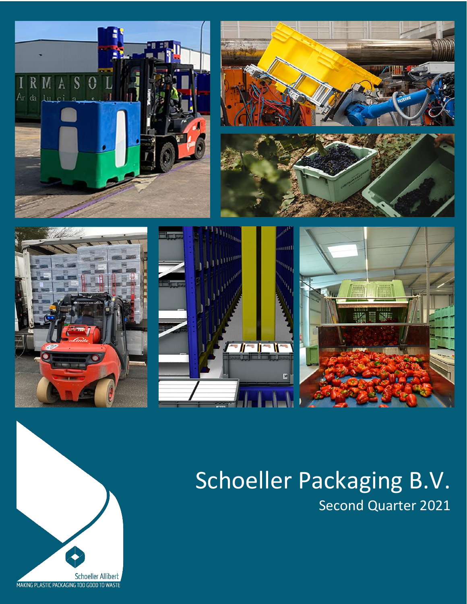

# Schoeller Packaging B.V. Second Quarter 2021

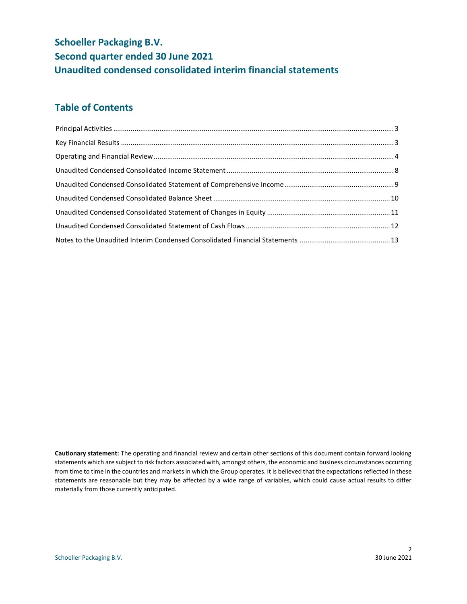## **Schoeller Packaging B.V. Second quarter ended 30 June 2021 Unaudited condensed consolidated interim financial statements**

## **Table of Contents**

**Cautionary statement:** The operating and financial review and certain other sections of this document contain forward looking statements which are subject to risk factors associated with, amongst others, the economic and business circumstances occurring from time to time in the countries and markets in which the Group operates. It is believed that the expectations reflected in these statements are reasonable but they may be affected by a wide range of variables, which could cause actual results to differ materially from those currently anticipated.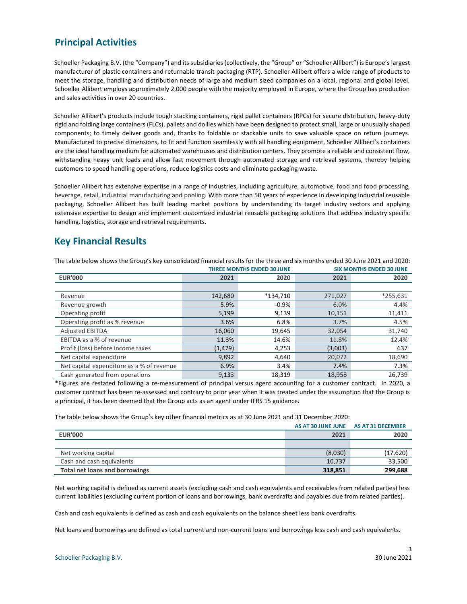### <span id="page-2-0"></span>**Principal Activities**

Schoeller Packaging B.V. (the "Company") and its subsidiaries (collectively, the "Group" or "Schoeller Allibert") is Europe's largest manufacturer of plastic containers and returnable transit packaging (RTP). Schoeller Allibert offers a wide range of products to meet the storage, handling and distribution needs of large and medium sized companies on a local, regional and global level. Schoeller Allibert employs approximately 2,000 people with the majority employed in Europe, where the Group has production and sales activities in over 20 countries.

Schoeller Allibert's products include tough stacking containers, rigid pallet containers (RPCs) for secure distribution, heavy-duty rigid and folding large containers (FLCs), pallets and dollies which have been designed to protect small, large or unusually shaped components; to timely deliver goods and, thanks to foldable or stackable units to save valuable space on return journeys. Manufactured to precise dimensions, to fit and function seamlessly with all handling equipment, Schoeller Allibert's containers are the ideal handling medium for automated warehouses and distribution centers. They promote a reliable and consistent flow, withstanding heavy unit loads and allow fast movement through automated storage and retrieval systems, thereby helping customers to speed handling operations, reduce logistics costs and eliminate packaging waste.

Schoeller Allibert has extensive expertise in a range of industries, including agriculture, automotive, food and food processing, beverage, retail, industrial manufacturing and pooling. With more than 50 years of experience in developing industrial reusable packaging, Schoeller Allibert has built leading market positions by understanding its target industry sectors and applying extensive expertise to design and implement customized industrial reusable packaging solutions that address industry specific handling, logistics, storage and retrieval requirements.

### <span id="page-2-1"></span>**Key Financial Results**

|                                           | <b>THREE MONTHS ENDED 30 JUNE</b> |          |         | <b>SIX MONTHS ENDED 30 JUNE</b> |
|-------------------------------------------|-----------------------------------|----------|---------|---------------------------------|
| <b>EUR'000</b>                            | 2021                              | 2020     | 2021    | 2020                            |
|                                           |                                   |          |         |                                 |
| Revenue                                   | 142,680                           | *134.710 | 271.027 | $*255,631$                      |
| Revenue growth                            | 5.9%                              | $-0.9\%$ | 6.0%    | 4.4%                            |
| Operating profit                          | 5,199                             | 9,139    | 10,151  | 11,411                          |
| Operating profit as % revenue             | 3.6%                              | 6.8%     | 3.7%    | 4.5%                            |
| <b>Adjusted EBITDA</b>                    | 16,060                            | 19,645   | 32,054  | 31,740                          |
| EBITDA as a % of revenue                  | 11.3%                             | 14.6%    | 11.8%   | 12.4%                           |
| Profit (loss) before income taxes         | (1, 479)                          | 4,253    | (3,003) | 637                             |
| Net capital expenditure                   | 9,892                             | 4,640    | 20,072  | 18,690                          |
| Net capital expenditure as a % of revenue | 6.9%                              | 3.4%     | 7.4%    | 7.3%                            |
| Cash generated from operations            | 9,133                             | 18.319   | 18,958  | 26.739                          |

The table below shows the Group's key consolidated financial results for the three and six months ended 30 June 2021 and 2020:

\*Figures are restated following a re-measurement of principal versus agent accounting for a customer contract. In 2020, a customer contract has been re-assessed and contrary to prior year when it was treated under the assumption that the Group is a principal, it has been deemed that the Group acts as an agent under IFRS 15 guidance.

The table below shows the Group's key other financial metrics as at 30 June 2021 and 31 December 2020:

|                                       |         | AS AT 30 JUNE JUNE AS AT 31 DECEMBER |
|---------------------------------------|---------|--------------------------------------|
| <b>EUR'000</b>                        | 2021    | 2020                                 |
|                                       |         |                                      |
| Net working capital                   | (8,030) | (17,620)                             |
| Cash and cash equivalents             | 10,737  | 33,500                               |
| <b>Total net loans and borrowings</b> | 318,851 | 299,688                              |

Net working capital is defined as current assets (excluding cash and cash equivalents and receivables from related parties) less current liabilities (excluding current portion of loans and borrowings, bank overdrafts and payables due from related parties).

Cash and cash equivalents is defined as cash and cash equivalents on the balance sheet less bank overdrafts.

Net loans and borrowings are defined as total current and non-current loans and borrowings less cash and cash equivalents.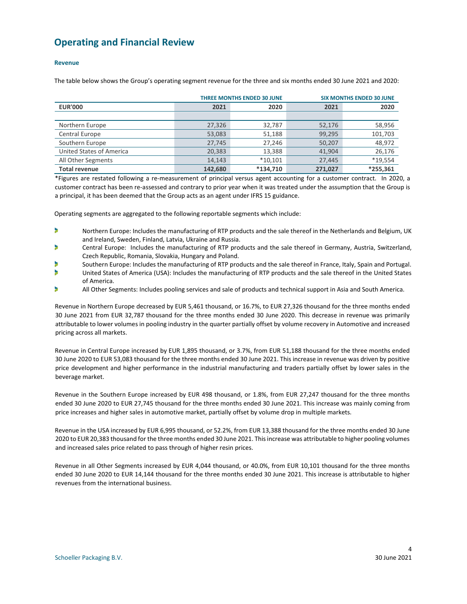### <span id="page-3-0"></span>**Operating and Financial Review**

#### **Revenue**

The table below shows the Group's operating segment revenue for the three and six months ended 30 June 2021 and 2020:

|                          |         | <b>THREE MONTHS ENDED 30 JUNE</b> |         | <b>SIX MONTHS ENDED 30 JUNE</b> |
|--------------------------|---------|-----------------------------------|---------|---------------------------------|
| <b>EUR'000</b>           | 2021    | 2020                              | 2021    | 2020                            |
|                          |         |                                   |         |                                 |
| Northern Europe          | 27,326  | 32,787                            | 52,176  | 58,956                          |
| Central Europe           | 53,083  | 51,188                            | 99,295  | 101,703                         |
| Southern Europe          | 27,745  | 27,246                            | 50,207  | 48,972                          |
| United States of America | 20,383  | 13,388                            | 41,904  | 26,176                          |
| All Other Segments       | 14,143  | $*10,101$                         | 27,445  | *19,554                         |
| <b>Total revenue</b>     | 142,680 | $*134.710$                        | 271.027 | *255.361                        |

\*Figures are restated following a re-measurement of principal versus agent accounting for a customer contract. In 2020, a customer contract has been re-assessed and contrary to prior year when it was treated under the assumption that the Group is a principal, it has been deemed that the Group acts as an agent under IFRS 15 guidance.

Operating segments are aggregated to the following reportable segments which include:

- ь Northern Europe: Includes the manufacturing of RTP products and the sale thereof in the Netherlands and Belgium, UK and Ireland, Sweden, Finland, Latvia, Ukraine and Russia.
- × Central Europe: Includes the manufacturing of RTP products and the sale thereof in Germany, Austria, Switzerland, Czech Republic, Romania, Slovakia, Hungary and Poland.
- Southern Europe: Includes the manufacturing of RTP products and the sale thereof in France, Italy, Spain and Portugal.
- э United States of America (USA): Includes the manufacturing of RTP products and the sale thereof in the United States of America.
- D All Other Segments: Includes pooling services and sale of products and technical support in Asia and South America.

Revenue in Northern Europe decreased by EUR 5,461 thousand, or 16.7%, to EUR 27,326 thousand for the three months ended 30 June 2021 from EUR 32,787 thousand for the three months ended 30 June 2020. This decrease in revenue was primarily attributable to lower volumes in pooling industry in the quarter partially offset by volume recovery in Automotive and increased pricing across all markets.

Revenue in Central Europe increased by EUR 1,895 thousand, or 3.7%, from EUR 51,188 thousand for the three months ended 30 June 2020 to EUR 53,083 thousand for the three months ended 30 June 2021. This increase in revenue was driven by positive price development and higher performance in the industrial manufacturing and traders partially offset by lower sales in the beverage market.

Revenue in the Southern Europe increased by EUR 498 thousand, or 1.8%, from EUR 27,247 thousand for the three months ended 30 June 2020 to EUR 27,745 thousand for the three months ended 30 June 2021. This increase was mainly coming from price increases and higher sales in automotive market, partially offset by volume drop in multiple markets.

Revenue in the USA increased by EUR 6,995 thousand, or 52.2%, from EUR 13,388 thousand for the three months ended 30 June 2020 to EUR 20,383 thousand for the three months ended 30 June 2021. This increase was attributable to higher pooling volumes and increased sales price related to pass through of higher resin prices.

Revenue in all Other Segments increased by EUR 4,044 thousand, or 40.0%, from EUR 10,101 thousand for the three months ended 30 June 2020 to EUR 14,144 thousand for the three months ended 30 June 2021. This increase is attributable to higher revenues from the international business.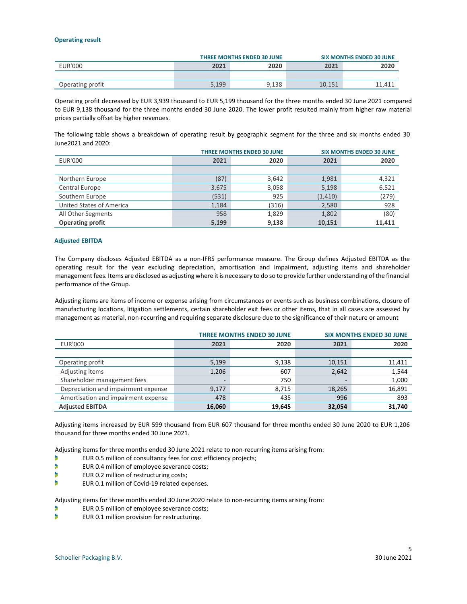#### **Operating result**

|                  |       | <b>THREE MONTHS ENDED 30 JUNE</b> |        | <b>SIX MONTHS ENDED 30 JUNE</b> |
|------------------|-------|-----------------------------------|--------|---------------------------------|
| EUR'000          | 2021  | 2020                              | 2021   | 2020                            |
|                  |       |                                   |        |                                 |
| Operating profit | 5.199 | 9.138                             | 10,151 | 11.411                          |

Operating profit decreased by EUR 3,939 thousand to EUR 5,199 thousand for the three months ended 30 June 2021 compared to EUR 9,138 thousand for the three months ended 30 June 2020. The lower profit resulted mainly from higher raw material prices partially offset by higher revenues.

The following table shows a breakdown of operating result by geographic segment for the three and six months ended 30 June2021 and 2020:

| <b>THREE MONTHS ENDED 30 JUNE</b> |       |       |          | <b>SIX MONTHS ENDED 30 JUNE</b> |
|-----------------------------------|-------|-------|----------|---------------------------------|
| <b>EUR'000</b>                    | 2021  | 2020  | 2021     | 2020                            |
|                                   |       |       |          |                                 |
| Northern Europe                   | (87)  | 3,642 | 1,981    | 4,321                           |
| Central Europe                    | 3,675 | 3,058 | 5,198    | 6,521                           |
| Southern Europe                   | (531) | 925   | (1, 410) | (279)                           |
| United States of America          | 1,184 | (316) | 2,580    | 928                             |
| All Other Segments                | 958   | 1,829 | 1,802    | (80)                            |
| <b>Operating profit</b>           | 5,199 | 9,138 | 10,151   | 11,411                          |

#### **Adjusted EBITDA**

The Company discloses Adjusted EBITDA as a non-IFRS performance measure. The Group defines Adjusted EBITDA as the operating result for the year excluding depreciation, amortisation and impairment, adjusting items and shareholder management fees. Items are disclosed as adjusting where it is necessary to do so to provide further understanding of the financial performance of the Group.

Adjusting items are items of income or expense arising from circumstances or events such as business combinations, closure of manufacturing locations, litigation settlements, certain shareholder exit fees or other items, that in all cases are assessed by management as material, non-recurring and requiring separate disclosure due to the significance of their nature or amount

|                                     | <b>THREE MONTHS ENDED 30 JUNE</b> |        |        | <b>SIX MONTHS ENDED 30 JUNE</b> |
|-------------------------------------|-----------------------------------|--------|--------|---------------------------------|
| <b>EUR'000</b>                      | 2021                              | 2020   | 2021   | 2020                            |
|                                     |                                   |        |        |                                 |
| Operating profit                    | 5,199                             | 9,138  | 10,151 | 11,411                          |
| Adjusting items                     | 1,206                             | 607    | 2.642  | 1,544                           |
| Shareholder management fees         | -                                 | 750    |        | 1,000                           |
| Depreciation and impairment expense | 9,177                             | 8.715  | 18,265 | 16,891                          |
| Amortisation and impairment expense | 478                               | 435    | 996    | 893                             |
| <b>Adjusted EBITDA</b>              | 16,060                            | 19.645 | 32,054 | 31,740                          |

Adjusting items increased by EUR 599 thousand from EUR 607 thousand for three months ended 30 June 2020 to EUR 1,206 thousand for three months ended 30 June 2021.

Adjusting items for three months ended 30 June 2021 relate to non-recurring items arising from:

- EUR 0.5 million of consultancy fees for cost efficiency projects; D
- э EUR 0.4 million of employee severance costs;
- Þ EUR 0.2 million of restructuring costs;
- Þ EUR 0.1 million of Covid-19 related expenses.

Adjusting items for three months ended 30 June 2020 relate to non-recurring items arising from:

- ٠ EUR 0.5 million of employee severance costs;
- Þ EUR 0.1 million provision for restructuring.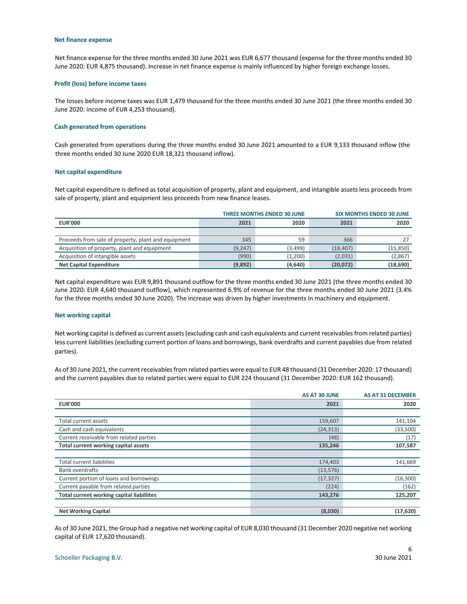#### **Net finance expense**

Net finance expense for the three months ended 30 June 2021 was EUR 6,677 thousand (expense for the three months ended 30 June 2020: EUR 4,875 thousand). Increase in net finance expense is mainly influenced by higher foreign exchange losses.

#### **Profit (loss) before income taxes**

The losses before income taxes was EUR 1,479 thousand for the three months ended 30 June 2021 (the three months ended 30 June 2020: income of EUR 4,253 thousand).

#### **Cash generated from operations**

Cash generated from operations during the three months ended 30 June 2021 amounted to a EUR 9,133 thousand inflow (the three months ended 30 June 2020 EUR 18,321 thousand inflow).

#### **Net capital expenditure**

Net capital expenditure is defined as total acquisition of property, plant and equipment, and intangible assets less proceeds from sale of property, plant and equipment less proceeds from new finance leases.

|                                                     | <b>THREE MONTHS ENDED 30 JUNE</b> |          |           | <b>SIX MONTHS ENDED 30 JUNE</b> |
|-----------------------------------------------------|-----------------------------------|----------|-----------|---------------------------------|
| <b>EUR'000</b>                                      | 2021                              | 2020     | 2021      | 2020                            |
|                                                     |                                   |          |           |                                 |
| Proceeds from sale of property, plant and equipment | 345                               | 59       | 366       |                                 |
| Acquisition of property, plant and equipment        | (9, 247)                          | (3, 499) | (18, 407) | (15, 850)                       |
| Acquisition of intangible assets                    | (990)                             | (1,200)  | (2,031)   | (2,867)                         |
| <b>Net Capital Expenditure</b>                      | (9,892)                           | (4,640)  | (20,072)  | (18,690)                        |

Net capital expenditure was EUR 9,891 thousand outflow for the three months ended 30 June 2021 (the three months ended 30 June 2020: EUR 4,640 thousand outflow), which represented 6.9% of revenue for the three months ended 30 June 2021 (3.4% for the three months ended 30 June 2020). The increase was driven by higher investments in machinery and equipment.

#### **Net working capital**

Net working capital is defined as current assets (excluding cash and cash equivalents and current receivables from related parties) less current liabilities (excluding current portion of loans and borrowings, bank overdrafts and current payables due from related parties).

As of 30 June 2021, the current receivables from related parties were equal to EUR 48 thousand (31 December 2020: 17 thousand) and the current payables due to related parties were equal to EUR 224 thousand (31 December 2020: EUR 162 thousand).

|                                                  | <b>AS AT 30 JUNE</b> | <b>AS AT 31 DECEMBER</b> |
|--------------------------------------------------|----------------------|--------------------------|
| <b>EUR'000</b>                                   | 2021                 | 2020                     |
|                                                  |                      |                          |
| Total current assets                             | 159,607              | 141,104                  |
| Cash and cash equivalents                        | (24, 313)            | (33,500)                 |
| Current receivable from related parties          | (48)                 | (17)                     |
| Total current working capital assets             | 135,246              | 107,587                  |
|                                                  |                      |                          |
| Total current liabiliites                        | 174,403              | 141,669                  |
| <b>Bank overdrafts</b>                           | (13, 576)            |                          |
| Current portion of loans and borrowings          | (17, 327)            | (16, 300)                |
| Current payable from related parties             | (224)                | (162)                    |
| <b>Total current working capital liabiliites</b> | 143,276              | 125,207                  |
|                                                  |                      |                          |
| <b>Net Working Capital</b>                       | (8,030)              | (17, 620)                |

As of 30 June 2021, the Group had a negative net working capital of EUR 8,030 thousand (31 December 2020 negative net working capital of EUR 17,620 thousand).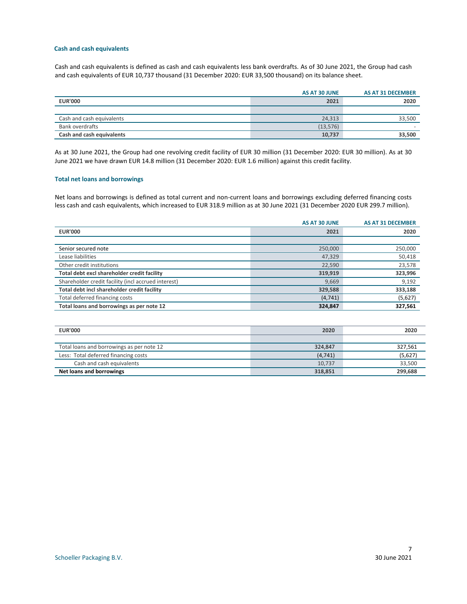#### **Cash and cash equivalents**

Cash and cash equivalents is defined as cash and cash equivalents less bank overdrafts. As of 30 June 2021, the Group had cash and cash equivalents of EUR 10,737 thousand (31 December 2020: EUR 33,500 thousand) on its balance sheet.

|                           | AS AT 30 JUNE | AS AT 31 DECEMBER |
|---------------------------|---------------|-------------------|
| <b>EUR'000</b>            | 2021          | 2020              |
|                           |               |                   |
| Cash and cash equivalents | 24,313        | 33,500            |
| Bank overdrafts           | (13, 576)     |                   |
| Cash and cash equivalents | 10,737        | 33,500            |

As at 30 June 2021, the Group had one revolving credit facility of EUR 30 million (31 December 2020: EUR 30 million). As at 30 June 2021 we have drawn EUR 14.8 million (31 December 2020: EUR 1.6 million) against this credit facility.

#### **Total net loans and borrowings**

Net loans and borrowings is defined as total current and non-current loans and borrowings excluding deferred financing costs less cash and cash equivalents, which increased to EUR 318.9 million as at 30 June 2021 (31 December 2020 EUR 299.7 million).

|                                                     | <b>AS AT 30 JUNE</b> | <b>AS AT 31 DECEMBER</b> |
|-----------------------------------------------------|----------------------|--------------------------|
| <b>EUR'000</b>                                      | 2021                 | 2020                     |
|                                                     |                      |                          |
| Senior secured note                                 | 250,000              | 250,000                  |
| Lease liabilities                                   | 47,329               | 50,418                   |
| Other credit institutions                           | 22,590               | 23,578                   |
| Total debt excl shareholder credit facility         | 319,919              | 323,996                  |
| Shareholder credit facility (incl accrued interest) | 9,669                | 9,192                    |
| Total debt incl shareholder credit facility         | 329,588              | 333,188                  |
| Total deferred financing costs                      | (4, 741)             | (5,627)                  |
| Total loans and borrowings as per note 12           | 324,847              | 327,561                  |

| <b>EUR'000</b>                            | 2020     | 2020    |
|-------------------------------------------|----------|---------|
|                                           |          |         |
| Total loans and borrowings as per note 12 | 324.847  | 327,561 |
| Less: Total deferred financing costs      | (4, 741) | (5,627) |
| Cash and cash equivalents                 | 10.737   | 33,500  |
| Net loans and borrowings                  | 318,851  | 299,688 |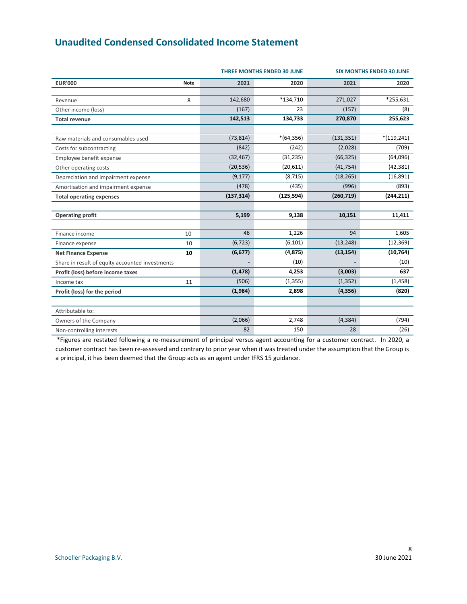### <span id="page-7-0"></span>**Unaudited Condensed Consolidated Income Statement**

|                                                 |             |            | <b>THREE MONTHS ENDED 30 JUNE</b> | <b>SIX MONTHS ENDED 30 JUNE</b> |               |  |
|-------------------------------------------------|-------------|------------|-----------------------------------|---------------------------------|---------------|--|
| <b>EUR'000</b>                                  | <b>Note</b> | 2021       | 2020                              | 2021                            | 2020          |  |
| Revenue                                         | 8           | 142,680    | *134,710                          | 271,027                         | *255,631      |  |
| Other income (loss)                             |             | (167)      | 23                                | (157)                           | (8)           |  |
| <b>Total revenue</b>                            |             | 142,513    | 134,733                           | 270,870                         | 255,623       |  |
| Raw materials and consumables used              |             | (73, 814)  | $*(64,356)$                       | (131, 351)                      | $*(119, 241)$ |  |
| Costs for subcontracting                        |             | (842)      | (242)                             | (2,028)                         | (709)         |  |
| Employee benefit expense                        |             | (32, 467)  | (31, 235)                         | (66, 325)                       | (64,096)      |  |
| Other operating costs                           |             | (20, 536)  | (20, 611)                         | (41, 754)                       | (42, 381)     |  |
| Depreciation and impairment expense             |             | (9, 177)   | (8, 715)                          | (18, 265)                       | (16, 891)     |  |
| Amortisation and impairment expense             |             | (478)      | (435)                             | (996)                           | (893)         |  |
| <b>Total operating expenses</b>                 |             | (137, 314) | (125, 594)                        | (260, 719)                      | (244, 211)    |  |
|                                                 |             |            |                                   |                                 |               |  |
| <b>Operating profit</b>                         |             | 5,199      | 9,138                             | 10,151                          | 11,411        |  |
|                                                 |             |            |                                   |                                 |               |  |
| Finance income                                  | 10          | 46         | 1,226                             | 94                              | 1,605         |  |
| Finance expense                                 | 10          | (6, 723)   | (6, 101)                          | (13, 248)                       | (12, 369)     |  |
| <b>Net Finance Expense</b>                      | 10          | (6, 677)   | (4, 875)                          | (13, 154)                       | (10, 764)     |  |
| Share in result of equity accounted investments |             |            | (10)                              |                                 | (10)          |  |
| Profit (loss) before income taxes               |             | (1, 478)   | 4,253                             | (3,003)                         | 637           |  |
| Income tax                                      | 11          | (506)      | (1, 355)                          | (1, 352)                        | (1, 458)      |  |
| Profit (loss) for the period                    |             | (1,984)    | 2,898                             | (4, 356)                        | (820)         |  |
|                                                 |             |            |                                   |                                 |               |  |
| Attributable to:                                |             |            |                                   |                                 |               |  |
| Owners of the Company                           |             | (2,066)    | 2,748                             | (4, 384)                        | (794)         |  |
| Non-controlling interests                       |             | 82         | 150                               | 28                              | (26)          |  |

\*Figures are restated following a re-measurement of principal versus agent accounting for a customer contract. In 2020, a customer contract has been re-assessed and contrary to prior year when it was treated under the assumption that the Group is a principal, it has been deemed that the Group acts as an agent under IFRS 15 guidance.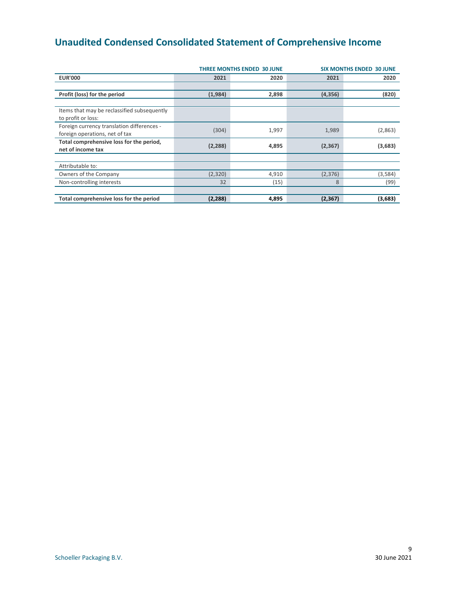# <span id="page-8-0"></span>**Unaudited Condensed Consolidated Statement of Comprehensive Income**

|                                                                              |          | <b>THREE MONTHS ENDED 30 JUNE</b> | <b>SIX MONTHS ENDED 30 JUNE</b> |         |  |  |  |
|------------------------------------------------------------------------------|----------|-----------------------------------|---------------------------------|---------|--|--|--|
| <b>EUR'000</b>                                                               | 2021     | 2020                              | 2021                            | 2020    |  |  |  |
|                                                                              |          |                                   |                                 |         |  |  |  |
| Profit (loss) for the period                                                 | (1,984)  | 2,898                             | (4, 356)                        | (820)   |  |  |  |
|                                                                              |          |                                   |                                 |         |  |  |  |
| Items that may be reclassified subsequently<br>to profit or loss:            |          |                                   |                                 |         |  |  |  |
| Foreign currency translation differences -<br>foreign operations, net of tax | (304)    | 1,997                             | 1,989                           | (2,863) |  |  |  |
| Total comprehensive loss for the period,<br>net of income tax                | (2, 288) | 4,895                             | (2, 367)                        | (3,683) |  |  |  |
|                                                                              |          |                                   |                                 |         |  |  |  |
| Attributable to:                                                             |          |                                   |                                 |         |  |  |  |
| Owners of the Company                                                        | (2,320)  | 4,910                             | (2,376)                         | (3,584) |  |  |  |
| Non-controlling interests                                                    | 32       | (15)                              | 8                               | (99)    |  |  |  |
|                                                                              |          |                                   |                                 |         |  |  |  |
| Total comprehensive loss for the period                                      | (2,288)  | 4,895                             | (2, 367)                        | (3,683) |  |  |  |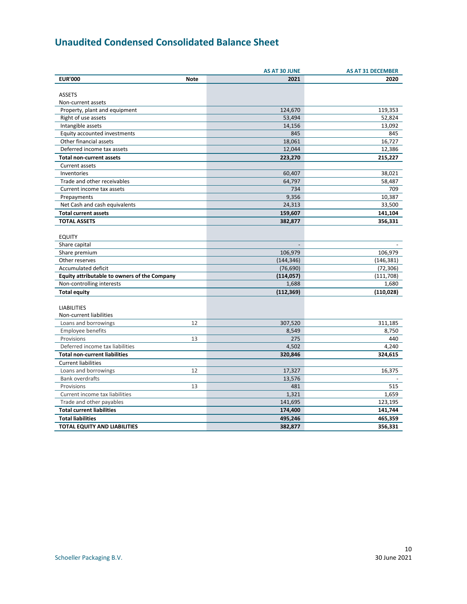# <span id="page-9-0"></span>**Unaudited Condensed Consolidated Balance Sheet**

| <b>EUR'000</b><br><b>Note</b>                | 2021           |            |
|----------------------------------------------|----------------|------------|
|                                              |                | 2020       |
|                                              |                |            |
| <b>ASSETS</b>                                |                |            |
| Non-current assets                           |                |            |
| Property, plant and equipment                | 124,670        | 119,353    |
| Right of use assets                          | 53,494         | 52,824     |
| Intangible assets                            | 14,156         | 13,092     |
| Equity accounted investments                 | 845            | 845        |
| Other financial assets                       | 18,061         | 16,727     |
| Deferred income tax assets                   | 12,044         | 12,386     |
| <b>Total non-current assets</b>              | 223,270        | 215,227    |
| Current assets                               |                |            |
| Inventories                                  | 60,407         | 38,021     |
| Trade and other receivables                  | 64,797         | 58,487     |
| Current income tax assets                    | 734            | 709        |
| Prepayments                                  | 9,356          | 10,387     |
| Net Cash and cash equivalents                | 24,313         | 33,500     |
| <b>Total current assets</b>                  | 159,607        | 141,104    |
| <b>TOTAL ASSETS</b>                          | 382,877        | 356,331    |
|                                              |                |            |
| <b>EQUITY</b>                                |                |            |
| Share capital                                | $\overline{a}$ |            |
| Share premium                                | 106,979        | 106,979    |
| Other reserves                               | (144, 346)     | (146, 381) |
| <b>Accumulated deficit</b>                   | (76, 690)      | (72, 306)  |
| Equity attributable to owners of the Company | (114,057)      | (111, 708) |
| Non-controlling interests                    | 1,688          | 1,680      |
| <b>Total equity</b>                          | (112, 369)     | (110, 028) |
|                                              |                |            |
| <b>LIABILITIES</b>                           |                |            |
| Non-current liabilities                      |                |            |
| 12<br>Loans and borrowings                   | 307,520        | 311,185    |
| <b>Employee benefits</b>                     | 8,549          | 8,750      |
| Provisions<br>13                             | 275            | 440        |
| Deferred income tax liabilities              | 4,502          | 4,240      |
| <b>Total non-current liabilities</b>         | 320,846        | 324,615    |
| <b>Current liabilities</b>                   |                |            |
| 12<br>Loans and borrowings                   | 17,327         | 16,375     |
| <b>Bank overdrafts</b>                       | 13,576         |            |
| 13<br>Provisions                             | 481            | 515        |
| Current income tax liabilities               | 1,321          | 1,659      |
| Trade and other payables                     | 141,695        | 123,195    |
| <b>Total current liabilities</b>             | 174,400        | 141,744    |
| <b>Total liabilities</b>                     | 495,246        | 465,359    |
| <b>TOTAL EQUITY AND LIABILITIES</b>          | 382,877        | 356,331    |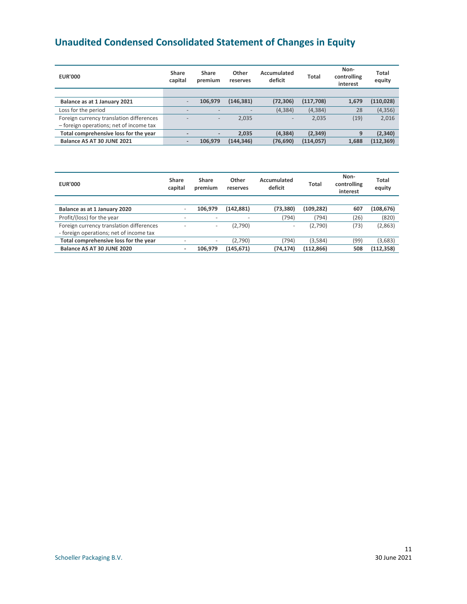# <span id="page-10-0"></span>**Unaudited Condensed Consolidated Statement of Changes in Equity**

| <b>EUR'000</b>                           | Share<br>capital | Share<br>premium | Other<br>reserves | Accumulated<br>deficit | Total      | Non-<br>controlling<br>interest | Total<br>equity |
|------------------------------------------|------------------|------------------|-------------------|------------------------|------------|---------------------------------|-----------------|
|                                          |                  |                  |                   |                        |            |                                 |                 |
| Balance as at 1 January 2021             |                  | 106.979          | (146, 381)        | (72, 306)              | (117, 708) | 1.679                           | (110, 028)      |
| Loss for the period                      | $\qquad \qquad$  |                  |                   | (4, 384)               | (4, 384)   | 28                              | (4, 356)        |
| Foreign currency translation differences |                  | -                | 2.035             | $-$                    | 2.035      | (19)                            | 2,016           |
| - foreign operations; net of income tax  |                  |                  |                   |                        |            |                                 |                 |
| Total comprehensive loss for the year    |                  | ۰.               | 2.035             | (4, 384)               | (2, 349)   | 9                               | (2, 340)        |
| Balance AS AT 30 JUNE 2021               |                  | 106.979          | (144,346)         | (76, 690)              | (114, 057) | 1.688                           | (112, 369)      |

| <b>EUR'000</b>                           | Share<br>capital         | Share<br>premium         | Other<br>reserves | Accumulated<br>deficit | Total      | Non-<br>controlling<br>interest | <b>Total</b><br>equity |
|------------------------------------------|--------------------------|--------------------------|-------------------|------------------------|------------|---------------------------------|------------------------|
|                                          |                          |                          |                   |                        |            |                                 |                        |
| Balance as at 1 January 2020             | $\overline{\phantom{0}}$ | 106.979                  | (142, 881)        | (73, 380)              | (109, 282) | 607                             | (108, 676)             |
| Profit/(loss) for the year               | $\overline{\phantom{a}}$ | $\overline{\phantom{a}}$ | ۰                 | (794)                  | (794)      | (26)                            | (820)                  |
| Foreign currency translation differences | $\overline{\phantom{a}}$ | $\overline{\phantom{a}}$ | (2,790)           |                        | (2,790)    | (73)                            | (2,863)                |
| - foreign operations; net of income tax  |                          |                          |                   |                        |            |                                 |                        |
| Total comprehensive loss for the year    | $\overline{\phantom{0}}$ | $\overline{\phantom{a}}$ | (2,790)           | (794)                  | (3,584)    | (99)                            | (3,683)                |
| Balance AS AT 30 JUNE 2020               | ٠                        | 106.979                  | (145, 671)        | (74, 174)              | (112, 866) | 508                             | (112, 358)             |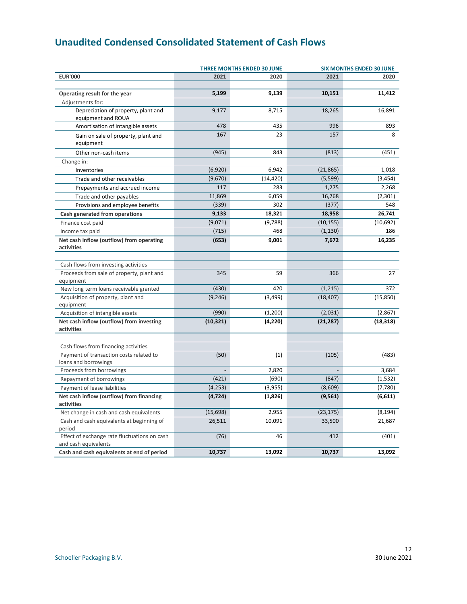# <span id="page-11-0"></span>**Unaudited Condensed Consolidated Statement of Cash Flows**

|                                                                                 |           | <b>THREE MONTHS ENDED 30 JUNE</b> |           | <b>SIX MONTHS ENDED 30 JUNE</b> |  |  |
|---------------------------------------------------------------------------------|-----------|-----------------------------------|-----------|---------------------------------|--|--|
| <b>EUR'000</b>                                                                  | 2021      | 2020                              | 2021      | 2020                            |  |  |
| Operating result for the year                                                   | 5,199     | 9,139                             | 10,151    | 11,412                          |  |  |
| Adjustments for:                                                                |           |                                   |           |                                 |  |  |
| Depreciation of property, plant and                                             | 9,177     | 8,715                             | 18,265    | 16,891                          |  |  |
| equipment and ROUA                                                              |           |                                   |           |                                 |  |  |
| Amortisation of intangible assets                                               | 478       | 435                               | 996       | 893                             |  |  |
| Gain on sale of property, plant and<br>equipment                                | 167       | 23                                | 157       | 8                               |  |  |
| Other non-cash items                                                            | (945)     | 843                               | (813)     | (451)                           |  |  |
| Change in:                                                                      |           |                                   |           |                                 |  |  |
| Inventories                                                                     | (6,920)   | 6,942                             | (21, 865) | 1,018                           |  |  |
| Trade and other receivables                                                     | (9,670)   | (14, 420)                         | (5, 599)  | (3, 454)                        |  |  |
| Prepayments and accrued income                                                  | 117       | 283                               | 1,275     | 2,268                           |  |  |
| Trade and other payables                                                        | 11,869    | 6,059                             | 16,768    | (2,301)                         |  |  |
| Provisions and employee benefits                                                | (339)     | 302                               | (377)     | 548                             |  |  |
| Cash generated from operations                                                  | 9,133     | 18,321                            | 18,958    | 26,741                          |  |  |
| Finance cost paid                                                               | (9,071)   | (9,788)                           | (10, 155) | (10, 692)                       |  |  |
| Income tax paid                                                                 | (715)     | 468                               | (1, 130)  | 186                             |  |  |
| Net cash inflow (outflow) from operating                                        | (653)     | 9,001                             | 7,672     | 16,235                          |  |  |
| activities                                                                      |           |                                   |           |                                 |  |  |
|                                                                                 |           |                                   |           |                                 |  |  |
| Cash flows from investing activities                                            |           |                                   |           |                                 |  |  |
| Proceeds from sale of property, plant and                                       | 345       | 59                                | 366       | 27                              |  |  |
| equipment                                                                       |           |                                   |           |                                 |  |  |
| New long term loans receivable granted                                          | (430)     | 420                               | (1, 215)  | 372                             |  |  |
| Acquisition of property, plant and                                              | (9, 246)  | (3,499)                           | (18, 407) | (15, 850)                       |  |  |
| equipment                                                                       |           |                                   |           |                                 |  |  |
| Acquisition of intangible assets                                                | (990)     | (1,200)                           | (2,031)   | (2,867)                         |  |  |
| Net cash inflow (outflow) from investing                                        | (10, 321) | (4, 220)                          | (21, 287) | (18, 318)                       |  |  |
| activities                                                                      |           |                                   |           |                                 |  |  |
|                                                                                 |           |                                   |           |                                 |  |  |
| Cash flows from financing activities<br>Payment of transaction costs related to | (50)      | (1)                               | (105)     | (483)                           |  |  |
| loans and borrowings                                                            |           |                                   |           |                                 |  |  |
| Proceeds from borrowings                                                        |           | 2,820                             |           | 3,684                           |  |  |
| Repayment of borrowings                                                         | (421)     | (690)                             | (847)     | (1, 532)                        |  |  |
| Payment of lease liabilities                                                    | (4, 253)  | (3,955)                           | (8,609)   | (7,780)                         |  |  |
| Net cash inflow (outflow) from financing                                        | (4, 724)  | (1,826)                           | (9, 561)  | (6, 611)                        |  |  |
| activities                                                                      |           |                                   |           |                                 |  |  |
| Net change in cash and cash equivalents                                         | (15, 698) | 2,955                             | (23, 175) | (8, 194)                        |  |  |
| Cash and cash equivalents at beginning of                                       | 26,511    | 10,091                            | 33,500    | 21,687                          |  |  |
| period                                                                          |           |                                   |           |                                 |  |  |
| Effect of exchange rate fluctuations on cash<br>and cash equivalents            | (76)      | 46                                | 412       | (401)                           |  |  |
| Cash and cash equivalents at end of period                                      | 10,737    | 13,092                            | 10,737    | 13,092                          |  |  |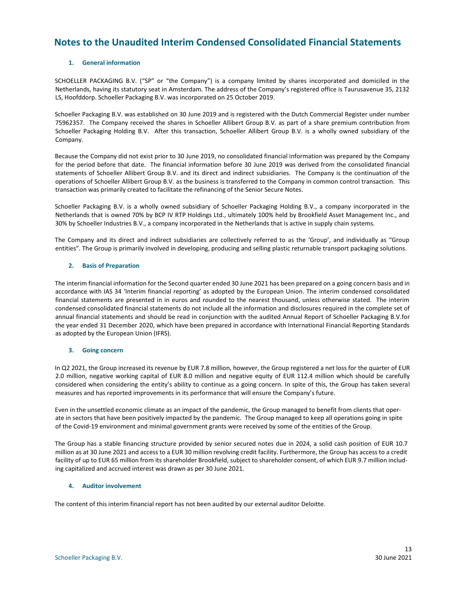### <span id="page-12-0"></span>**Notes to the Unaudited Interim Condensed Consolidated Financial Statements**

#### **1. General information**

SCHOELLER PACKAGING B.V. ("SP" or "the Company") is a company limited by shares incorporated and domiciled in the Netherlands, having its statutory seat in Amsterdam. The address of the Company's registered office is Taurusavenue 35, 2132 LS, Hoofddorp. Schoeller Packaging B.V. was incorporated on 25 October 2019.

Schoeller Packaging B.V. was established on 30 June 2019 and is registered with the Dutch Commercial Register under number 75962357. The Company received the shares in Schoeller Allibert Group B.V. as part of a share premium contribution from Schoeller Packaging Holding B.V. After this transaction, Schoeller Allibert Group B.V. is a wholly owned subsidiary of the Company.

Because the Company did not exist prior to 30 June 2019, no consolidated financial information was prepared by the Company for the period before that date. The financial information before 30 June 2019 was derived from the consolidated financial statements of Schoeller Allibert Group B.V. and its direct and indirect subsidiaries. The Company is the continuation of the operations of Schoeller Allibert Group B.V. as the business is transferred to the Company in common control transaction. This transaction was primarily created to facilitate the refinancing of the Senior Secure Notes.

Schoeller Packaging B.V. is a wholly owned subsidiary of Schoeller Packaging Holding B.V., a company incorporated in the Netherlands that is owned 70% by BCP IV RTP Holdings Ltd., ultimately 100% held by Brookfield Asset Management Inc., and 30% by Schoeller Industries B.V., a company incorporated in the Netherlands that is active in supply chain systems.

The Company and its direct and indirect subsidiaries are collectively referred to as the 'Group', and individually as "Group entities". The Group is primarily involved in developing, producing and selling plastic returnable transport packaging solutions.

#### **2. Basis of Preparation**

The interim financial information for the Second quarter ended 30 June 2021 has been prepared on a going concern basis and in accordance with IAS 34 'Interim financial reporting' as adopted by the European Union. The interim condensed consolidated financial statements are presented in in euros and rounded to the nearest thousand, unless otherwise stated. The interim condensed consolidated financial statements do not include all the information and disclosures required in the complete set of annual financial statements and should be read in conjunction with the audited Annual Report of Schoeller Packaging B.V.for the year ended 31 December 2020, which have been prepared in accordance with International Financial Reporting Standards as adopted by the European Union (IFRS).

#### **3. Going concern**

In Q2 2021, the Group increased its revenue by EUR 7.8 million, however, the Group registered a net loss for the quarter of EUR 2.0 million, negative working capital of EUR 8.0 million and negative equity of EUR 112.4 million which should be carefully considered when considering the entity's ability to continue as a going concern. In spite of this, the Group has taken several measures and has reported improvements in its performance that will ensure the Company's future.

Even in the unsettled economic climate as an impact of the pandemic, the Group managed to benefit from clients that operate in sectors that have been positively impacted by the pandemic. The Group managed to keep all operations going in spite of the Covid-19 environment and minimal government grants were received by some of the entities of the Group.

The Group has a stable financing structure provided by senior secured notes due in 2024, a solid cash position of EUR 10.7 million as at 30 June 2021 and access to a EUR 30 million revolving credit facility. Furthermore, the Group has access to a credit facility of up to EUR 65 million from its shareholder Brookfield, subject to shareholder consent, of which EUR 9.7 million including capitalized and accrued interest was drawn as per 30 June 2021.

#### **4. Auditor involvement**

The content of this interim financial report has not been audited by our external auditor Deloitte.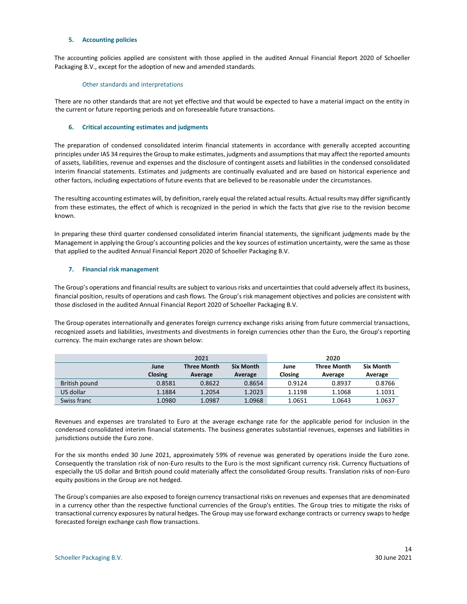#### **5. Accounting policies**

The accounting policies applied are consistent with those applied in the audited Annual Financial Report 2020 of Schoeller Packaging B.V., except for the adoption of new and amended standards.

#### Other standards and interpretations

There are no other standards that are not yet effective and that would be expected to have a material impact on the entity in the current or future reporting periods and on foreseeable future transactions.

#### **6. Critical accounting estimates and judgments**

The preparation of condensed consolidated interim financial statements in accordance with generally accepted accounting principles under IAS 34 requires the Group to make estimates, judgments and assumptions that may affect the reported amounts of assets, liabilities, revenue and expenses and the disclosure of contingent assets and liabilities in the condensed consolidated interim financial statements. Estimates and judgments are continually evaluated and are based on historical experience and other factors, including expectations of future events that are believed to be reasonable under the circumstances.

The resulting accounting estimates will, by definition, rarely equal the related actual results. Actual results may differ significantly from these estimates, the effect of which is recognized in the period in which the facts that give rise to the revision become known.

In preparing these third quarter condensed consolidated interim financial statements, the significant judgments made by the Management in applying the Group's accounting policies and the key sources of estimation uncertainty, were the same as those that applied to the audited Annual Financial Report 2020 of Schoeller Packaging B.V.

#### **7. Financial risk management**

The Group's operations and financial results are subject to various risks and uncertainties that could adversely affect its business, financial position, results of operations and cash flows. The Group's risk management objectives and policies are consistent with those disclosed in the audited Annual Financial Report 2020 of Schoeller Packaging B.V.

The Group operates internationally and generates foreign currency exchange risks arising from future commercial transactions, recognized assets and liabilities, investments and divestments in foreign currencies other than the Euro, the Group's reporting currency. The main exchange rates are shown below:

|               |                | 2021               |                  | 2020    |                    |                  |  |  |
|---------------|----------------|--------------------|------------------|---------|--------------------|------------------|--|--|
|               | June           | <b>Three Month</b> | <b>Six Month</b> | June    | <b>Three Month</b> | <b>Six Month</b> |  |  |
|               | <b>Closing</b> | Average            | Average          | Closing | Average            | Average          |  |  |
| British pound | 0.8581         | 0.8622             | 0.8654           | 0.9124  | 0.8937             | 0.8766           |  |  |
| US dollar     | 1.1884         | 1.2054             | 1.2023           | 1.1198  | 1.1068             | 1.1031           |  |  |
| Swiss franc   | 1.0980         | 1.0987             | 1.0968           | 1.0651  | 1.0643             | 1.0637           |  |  |

Revenues and expenses are translated to Euro at the average exchange rate for the applicable period for inclusion in the condensed consolidated interim financial statements. The business generates substantial revenues, expenses and liabilities in jurisdictions outside the Euro zone.

For the six months ended 30 June 2021, approximately 59% of revenue was generated by operations inside the Euro zone. Consequently the translation risk of non-Euro results to the Euro is the most significant currency risk. Currency fluctuations of especially the US dollar and British pound could materially affect the consolidated Group results. Translation risks of non-Euro equity positions in the Group are not hedged.

The Group's companies are also exposed to foreign currency transactional risks on revenues and expenses that are denominated in a currency other than the respective functional currencies of the Group's entities. The Group tries to mitigate the risks of transactional currency exposures by natural hedges. The Group may use forward exchange contracts or currency swaps to hedge forecasted foreign exchange cash flow transactions.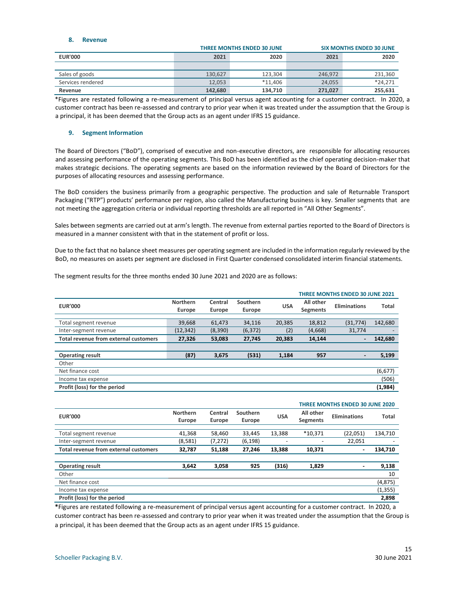#### **8. Revenue**

|                   |         | <b>THREE MONTHS ENDED 30 JUNE</b> | <b>SIX MONTHS ENDED 30 JUNE</b> |           |  |
|-------------------|---------|-----------------------------------|---------------------------------|-----------|--|
| <b>EUR'000</b>    | 2021    | 2020                              | 2021                            | 2020      |  |
|                   |         |                                   |                                 |           |  |
| Sales of goods    | 130.627 | 123.304                           | 246.972                         | 231,360   |  |
| Services rendered | 12.053  | $*11.406$                         | 24.055                          | $*24.271$ |  |
| Revenue           | 142,680 | 134.710                           | 271,027                         | 255,631   |  |

\*Figures are restated following a re-measurement of principal versus agent accounting for a customer contract. In 2020, a customer contract has been re-assessed and contrary to prior year when it was treated under the assumption that the Group is a principal, it has been deemed that the Group acts as an agent under IFRS 15 guidance.

#### **9. Segment Information**

The Board of Directors ("BoD"), comprised of executive and non-executive directors, are responsible for allocating resources and assessing performance of the operating segments. This BoD has been identified as the chief operating decision-maker that makes strategic decisions. The operating segments are based on the information reviewed by the Board of Directors for the purposes of allocating resources and assessing performance.

The BoD considers the business primarily from a geographic perspective. The production and sale of Returnable Transport Packaging ("RTP") products' performance per region, also called the Manufacturing business is key. Smaller segments that are not meeting the aggregation criteria or individual reporting thresholds are all reported in "All Other Segments".

Sales between segments are carried out at arm's length. The revenue from external parties reported to the Board of Directors is measured in a manner consistent with that in the statement of profit or loss.

Due to the fact that no balance sheet measures per operating segment are included in the information regularly reviewed by the BoD, no measures on assets per segment are disclosed in First Quarter condensed consolidated interim financial statements.

|                                              |                           |                   |                    |            | <b>THREE MONTHS ENDED 30 JUNE 2021</b> |                     |              |  |
|----------------------------------------------|---------------------------|-------------------|--------------------|------------|----------------------------------------|---------------------|--------------|--|
| <b>EUR'000</b>                               | <b>Northern</b><br>Europe | Central<br>Europe | Southern<br>Europe | <b>USA</b> | All other<br><b>Segments</b>           | <b>Eliminations</b> | <b>Total</b> |  |
|                                              |                           |                   |                    |            |                                        |                     |              |  |
| Total segment revenue                        | 39,668                    | 61,473            | 34.116             | 20,385     | 18,812                                 | (31, 774)           | 142,680      |  |
| Inter-segment revenue                        | (12, 342)                 | (8,390)           | (6, 372)           | (2)        | (4,668)                                | 31,774              |              |  |
| <b>Total revenue from external customers</b> | 27,326                    | 53,083            | 27,745             | 20.383     | 14,144                                 | $\blacksquare$      | 142,680      |  |
|                                              |                           |                   |                    |            |                                        |                     |              |  |
| <b>Operating result</b>                      | (87)                      | 3,675             | (531)              | 1,184      | 957                                    | -                   | 5,199        |  |
| Other                                        |                           |                   |                    |            |                                        |                     |              |  |
| Net finance cost                             |                           |                   |                    |            |                                        |                     | (6, 677)     |  |
| Income tax expense                           |                           |                   |                    |            |                                        |                     | (506)        |  |
| Profit (loss) for the period                 | (1,984)                   |                   |                    |            |                                        |                     |              |  |

The segment results for the three months ended 30 June 2021 and 2020 are as follows:

|                                              |                           |                   |                    |            | <b>THREE MONTHS ENDED 30 JUNE 2020</b> |                              |              |  |  |
|----------------------------------------------|---------------------------|-------------------|--------------------|------------|----------------------------------------|------------------------------|--------------|--|--|
| <b>EUR'000</b>                               | Northern<br><b>Europe</b> | Central<br>Europe | Southern<br>Europe | <b>USA</b> | All other<br><b>Segments</b>           | Eliminations                 | <b>Total</b> |  |  |
|                                              |                           |                   |                    |            |                                        |                              |              |  |  |
| Total segment revenue                        | 41,368                    | 58,460            | 33,445             | 13,388     | *10.371                                | (22,051)                     | 134,710      |  |  |
| Inter-segment revenue                        | (8,581)                   | (7, 272)          | (6, 198)           |            |                                        | 22,051                       |              |  |  |
| <b>Total revenue from external customers</b> | 32,787                    | 51,188            | 27,246             | 13,388     | 10.371                                 | $\overline{\phantom{0}}$     | 134,710      |  |  |
|                                              |                           |                   |                    |            |                                        |                              |              |  |  |
| <b>Operating result</b>                      | 3,642                     | 3,058             | 925                | (316)      | 1,829                                  | $\qquad \qquad \blacksquare$ | 9,138        |  |  |
| Other                                        |                           |                   |                    |            |                                        |                              | 10           |  |  |
| Net finance cost                             |                           |                   |                    |            |                                        |                              | (4, 875)     |  |  |
| Income tax expense                           |                           |                   |                    |            |                                        |                              | (1, 355)     |  |  |
| Profit (loss) for the period                 |                           |                   |                    |            |                                        |                              | 2,898        |  |  |

**\***Figures are restated following a re-measurement of principal versus agent accounting for a customer contract. In 2020, a customer contract has been re-assessed and contrary to prior year when it was treated under the assumption that the Group is a principal, it has been deemed that the Group acts as an agent under IFRS 15 guidance.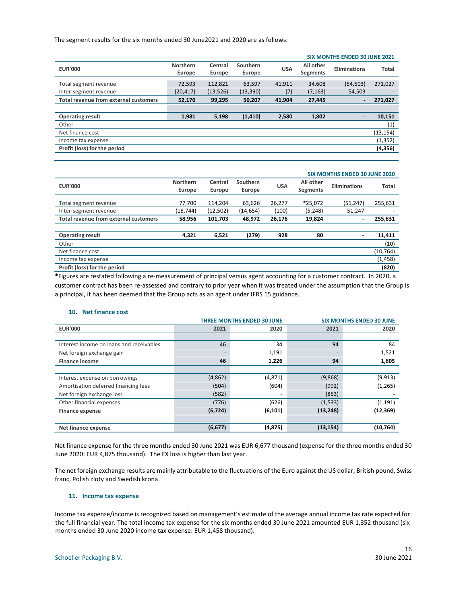The segment results for the six months ended 30 June2021 and 2020 are as follows:

|                                              | <b>SIX MONTHS ENDED 30 JUNE 2021</b> |                   |                    |            |                              |                |           |  |
|----------------------------------------------|--------------------------------------|-------------------|--------------------|------------|------------------------------|----------------|-----------|--|
| <b>EUR'000</b>                               | Northern<br>Europe                   | Central<br>Europe | Southern<br>Europe | <b>USA</b> | All other<br><b>Segments</b> | Eliminations   | Total     |  |
| Total segment revenue                        | 72,593                               | 112,821           | 63.597             | 41,911     | 34,608                       | (54, 503)      | 271,027   |  |
| Inter-segment revenue                        | (20, 417)                            | (13, 526)         | (13, 390)          | (7)        | (7, 163)                     | 54,503         |           |  |
| <b>Total revenue from external customers</b> | 52,176                               | 99,295            | 50,207             | 41.904     | 27,445                       | $\blacksquare$ | 271,027   |  |
|                                              |                                      |                   |                    |            |                              |                |           |  |
| <b>Operating result</b>                      | 1,981                                | 5,198             | (1, 410)           | 2,580      | 1,802                        | $\overline{a}$ | 10,151    |  |
| Other                                        |                                      |                   |                    |            |                              |                | (1)       |  |
| Net finance cost                             |                                      |                   |                    |            |                              |                | (13, 154) |  |
| Income tax expense                           |                                      |                   |                    |            |                              | (1, 352)       |           |  |
| Profit (loss) for the period                 | (4, 356)                             |                   |                    |            |                              |                |           |  |

|                                       |                 |          |          |            | <b>SIX MONTHS ENDED 30 JUNE 2020</b> |                     |              |  |  |
|---------------------------------------|-----------------|----------|----------|------------|--------------------------------------|---------------------|--------------|--|--|
| <b>EUR'000</b>                        | <b>Northern</b> | Central  | Southern | <b>USA</b> | All other                            | <b>Eliminations</b> | <b>Total</b> |  |  |
|                                       | Europe          | Europe   | Europe   |            | <b>Segments</b>                      |                     |              |  |  |
|                                       |                 |          |          |            |                                      |                     |              |  |  |
| Total segment revenue                 | 77,700          | 114.204  | 63.626   | 26.277     | *25.072                              | (51, 247)           | 255,631      |  |  |
| Inter-segment revenue                 | (18, 744)       | (12,502) | (14,654) | (100)      | (5, 248)                             | 51,247              |              |  |  |
| Total revenue from external customers | 58.956          | 101,703  | 48.972   | 26,176     | 19,824                               | $\blacksquare$      | 255,631      |  |  |
|                                       |                 |          |          |            |                                      |                     |              |  |  |
| <b>Operating result</b>               | 4,321           | 6,521    | (279)    | 928        | 80                                   | ٠                   | 11,411       |  |  |
| Other                                 |                 |          |          |            |                                      |                     | (10)         |  |  |
| Net finance cost                      |                 |          |          |            |                                      |                     | (10, 764)    |  |  |
| Income tax expense                    |                 |          |          |            |                                      |                     | (1, 458)     |  |  |
| Profit (loss) for the period          |                 |          |          |            |                                      |                     | (820)        |  |  |
|                                       |                 |          |          |            |                                      |                     |              |  |  |

**\***Figures are restated following a re-measurement of principal versus agent accounting for a customer contract. In 2020, a customer contract has been re-assessed and contrary to prior year when it was treated under the assumption that the Group is a principal, it has been deemed that the Group acts as an agent under IFRS 15 guidance.

#### **10. Net finance cost**

|                                          |          | <b>THREE MONTHS ENDED 30 JUNE</b> | <b>SIX MONTHS ENDED 30 JUNE</b> |           |  |
|------------------------------------------|----------|-----------------------------------|---------------------------------|-----------|--|
| <b>EUR'000</b>                           | 2021     | 2020                              | 2021                            | 2020      |  |
|                                          |          |                                   |                                 |           |  |
| Interest income on loans and receivables | 46       | 34                                | 94                              | 84        |  |
| Net foreign exchange gain                |          | 1,191                             |                                 | 1,521     |  |
| <b>Finance income</b>                    | 46       | 1,226                             | 94                              | 1,605     |  |
|                                          |          |                                   |                                 |           |  |
| Interest expense on borrowings           | (4,862)  | (4,871)                           | (9,868)                         | (9, 913)  |  |
| Amortisation deferred financing fees     | (504)    | (604)                             | (992)                           | (1,265)   |  |
| Net foreign exchange loss                | (582)    |                                   | (853)                           |           |  |
| Other financial expenses                 | (776)    | (626)                             | (1, 533)                        | (1, 191)  |  |
| <b>Finance expense</b>                   | (6, 724) | (6, 101)                          | (13, 248)                       | (12, 369) |  |
|                                          |          |                                   |                                 |           |  |
| Net finance expense                      | (6, 677) | (4, 875)                          | (13, 154)                       | (10, 764) |  |

Net finance expense for the three months ended 30 June 2021 was EUR 6,677 thousand (expense for the three months ended 30 June 2020: EUR 4,875 thousand). The FX loss is higher than last year.

The net foreign exchange results are mainly attributable to the fluctuations of the Euro against the US dollar, British pound, Swiss franc, Polish zloty and Swedish krona.

#### **11. Income tax expense**

Income tax expense/income is recognized based on management's estimate of the average annual income tax rate expected for the full financial year. The total income tax expense for the six months ended 30 June 2021 amounted EUR 1,352 thousand (six months ended 30 June 2020 income tax expense: EUR 1,458 thousand).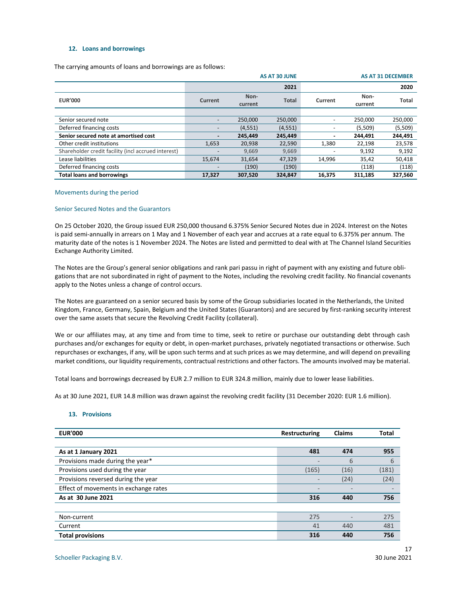#### **12. Loans and borrowings**

The carrying amounts of loans and borrowings are as follows:

|                                                     | <b>AS AT 30 JUNE</b><br><b>AS AT 31 DECEMBER</b> |                 |              |         |                 |              |
|-----------------------------------------------------|--------------------------------------------------|-----------------|--------------|---------|-----------------|--------------|
|                                                     |                                                  |                 | 2021         |         |                 | 2020         |
| <b>EUR'000</b>                                      | Current                                          | Non-<br>current | <b>Total</b> | Current | Non-<br>current | <b>Total</b> |
|                                                     |                                                  |                 |              |         |                 |              |
| Senior secured note                                 |                                                  | 250.000         | 250,000      |         | 250.000         | 250,000      |
| Deferred financing costs                            |                                                  | (4, 551)        | (4, 551)     |         | (5,509)         | (5,509)      |
| Senior secured note at amortised cost               |                                                  | 245.449         | 245.449      |         | 244.491         | 244,491      |
| Other credit institutions                           | 1,653                                            | 20,938          | 22,590       | 1,380   | 22,198          | 23,578       |
| Shareholder credit facility (incl accrued interest) |                                                  | 9.669           | 9,669        |         | 9,192           | 9,192        |
| Lease liabilities                                   | 15,674                                           | 31,654          | 47,329       | 14,996  | 35,42           | 50,418       |
| Deferred financing costs                            |                                                  | (190)           | (190)        |         | (118)           | (118)        |
| <b>Total loans and borrowings</b>                   | 17,327                                           | 307,520         | 324,847      | 16,375  | 311,185         | 327,560      |

#### Movements during the period

#### Senior Secured Notes and the Guarantors

On 25 October 2020, the Group issued EUR 250,000 thousand 6.375% Senior Secured Notes due in 2024. Interest on the Notes is paid semi-annually in arrears on 1 May and 1 November of each year and accrues at a rate equal to 6.375% per annum. The maturity date of the notes is 1 November 2024. The Notes are listed and permitted to deal with at The Channel Island Securities Exchange Authority Limited.

The Notes are the Group's general senior obligations and rank pari passu in right of payment with any existing and future obligations that are not subordinated in right of payment to the Notes, including the revolving credit facility. No financial covenants apply to the Notes unless a change of control occurs.

The Notes are guaranteed on a senior secured basis by some of the Group subsidiaries located in the Netherlands, the United Kingdom, France, Germany, Spain, Belgium and the United States (Guarantors) and are secured by first-ranking security interest over the same assets that secure the Revolving Credit Facility (collateral).

We or our affiliates may, at any time and from time to time, seek to retire or purchase our outstanding debt through cash purchases and/or exchanges for equity or debt, in open-market purchases, privately negotiated transactions or otherwise. Such repurchases or exchanges, if any, will be upon such terms and at such prices as we may determine, and will depend on prevailing market conditions, our liquidity requirements, contractual restrictions and other factors. The amounts involved may be material.

Total loans and borrowings decreased by EUR 2.7 million to EUR 324.8 million, mainly due to lower lease liabilities.

As at 30 June 2021, EUR 14.8 million was drawn against the revolving credit facility (31 December 2020: EUR 1.6 million).

#### **13. Provisions**

| <b>EUR'000</b>                        | Restructuring            | <b>Claims</b> | <b>Total</b> |
|---------------------------------------|--------------------------|---------------|--------------|
|                                       |                          |               |              |
| As at 1 January 2021                  | 481                      | 474           | 955          |
| Provisions made during the year*      | $\overline{\phantom{0}}$ | 6             | 6            |
| Provisions used during the year       | (165)                    | (16)          | (181)        |
| Provisions reversed during the year   |                          | (24)          | (24)         |
| Effect of movements in exchange rates | -                        |               |              |
| As at 30 June 2021                    | 316                      | 440           | 756          |
|                                       |                          |               |              |
| Non-current                           | 275                      |               | 275          |
| Current                               | 41                       | 440           | 481          |
| <b>Total provisions</b>               | 316                      | 440           | 756          |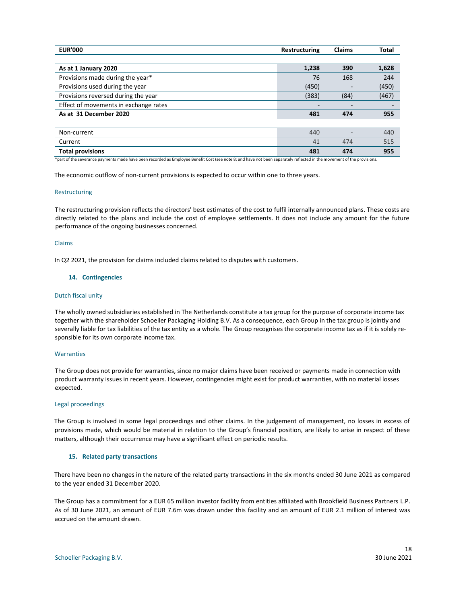| <b>EUR'000</b>                        | <b>Restructuring</b> | <b>Claims</b> | <b>Total</b> |
|---------------------------------------|----------------------|---------------|--------------|
|                                       |                      |               |              |
| As at 1 January 2020                  | 1,238                | 390           | 1,628        |
| Provisions made during the year*      | 76                   | 168           | 244          |
| Provisions used during the year       | (450)                |               | (450)        |
| Provisions reversed during the year   | (383)                | (84)          | (467)        |
| Effect of movements in exchange rates |                      |               | -            |
| As at 31 December 2020                | 481                  | 474           | 955          |
|                                       |                      |               |              |
| Non-current                           | 440                  |               | 440          |
| Current                               | 41                   | 474           | 515          |
| <b>Total provisions</b>               | 481                  | 474           | 955          |

\*part of the severance payments made have been recorded as Employee Benefit Cost (see note 8; and have not been separately reflected in the movement of the provisions.

The economic outflow of non-current provisions is expected to occur within one to three years.

#### Restructuring

The restructuring provision reflects the directors' best estimates of the cost to fulfil internally announced plans. These costs are directly related to the plans and include the cost of employee settlements. It does not include any amount for the future performance of the ongoing businesses concerned.

#### Claims

In Q2 2021, the provision for claims included claims related to disputes with customers.

#### **14. Contingencies**

#### Dutch fiscal unity

The wholly owned subsidiaries established in The Netherlands constitute a tax group for the purpose of corporate income tax together with the shareholder Schoeller Packaging Holding B.V. As a consequence, each Group in the tax group is jointly and severally liable for tax liabilities of the tax entity as a whole. The Group recognises the corporate income tax as if it is solely responsible for its own corporate income tax.

#### **Warranties**

The Group does not provide for warranties, since no major claims have been received or payments made in connection with product warranty issues in recent years. However, contingencies might exist for product warranties, with no material losses expected.

#### Legal proceedings

The Group is involved in some legal proceedings and other claims. In the judgement of management, no losses in excess of provisions made, which would be material in relation to the Group's financial position, are likely to arise in respect of these matters, although their occurrence may have a significant effect on periodic results.

#### **15. Related party transactions**

There have been no changes in the nature of the related party transactions in the six months ended 30 June 2021 as compared to the year ended 31 December 2020.

The Group has a commitment for a EUR 65 million investor facility from entities affiliated with Brookfield Business Partners L.P. As of 30 June 2021, an amount of EUR 7.6m was drawn under this facility and an amount of EUR 2.1 million of interest was accrued on the amount drawn.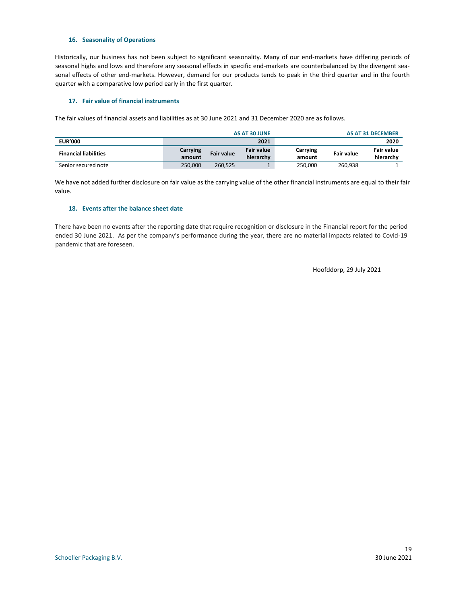#### **16. Seasonality of Operations**

Historically, our business has not been subject to significant seasonality. Many of our end-markets have differing periods of seasonal highs and lows and therefore any seasonal effects in specific end-markets are counterbalanced by the divergent seasonal effects of other end-markets. However, demand for our products tends to peak in the third quarter and in the fourth quarter with a comparative low period early in the first quarter.

#### **17. Fair value of financial instruments**

The fair values of financial assets and liabilities as at 30 June 2021 and 31 December 2020 are as follows.

| AS AT 30 JUNE |                             |                   | AS AT 31 DECEMBER |         |                   |
|---------------|-----------------------------|-------------------|-------------------|---------|-------------------|
|               |                             | 2021              |                   |         | 2020              |
| Carrying      | <b>Fair value</b><br>amount | <b>Fair value</b> | Carrying          |         | Fair value        |
|               |                             | hierarchy         | amount            |         | hierarchy         |
| 250.000       | 260.525                     |                   | 250.000           | 260.938 |                   |
|               |                             |                   |                   |         | <b>Fair value</b> |

We have not added further disclosure on fair value as the carrying value of the other financial instruments are equal to their fair value.

#### **18. Events after the balance sheet date**

There have been no events after the reporting date that require recognition or disclosure in the Financial report for the period ended 30 June 2021. As per the company's performance during the year, there are no material impacts related to Covid-19 pandemic that are foreseen.

Hoofddorp, 29 July 2021